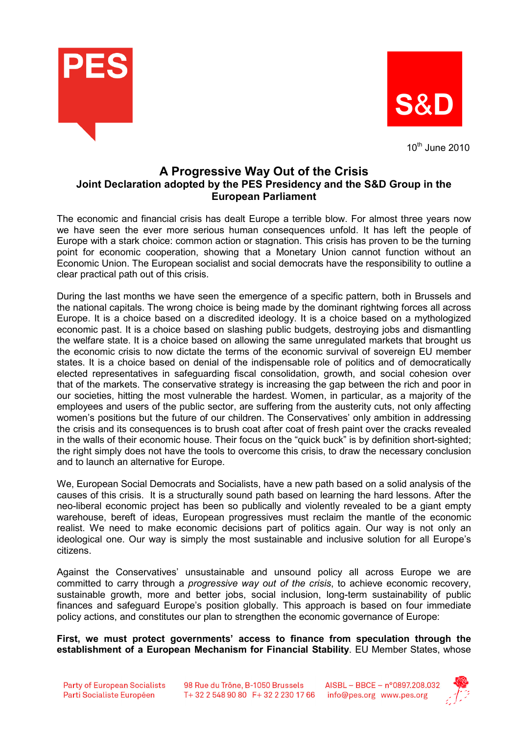



 $10^{th}$  June 2010

## A Progressive Way Out of the Crisis Joint Declaration adopted by the PES Presidency and the S&D Group in the European Parliament

The economic and financial crisis has dealt Europe a terrible blow. For almost three years now we have seen the ever more serious human consequences unfold. It has left the people of Europe with a stark choice: common action or stagnation. This crisis has proven to be the turning point for economic cooperation, showing that a Monetary Union cannot function without an Economic Union. The European socialist and social democrats have the responsibility to outline a clear practical path out of this crisis.

During the last months we have seen the emergence of a specific pattern, both in Brussels and the national capitals. The wrong choice is being made by the dominant rightwing forces all across Europe. It is a choice based on a discredited ideology. It is a choice based on a mythologized economic past. It is a choice based on slashing public budgets, destroying jobs and dismantling the welfare state. It is a choice based on allowing the same unregulated markets that brought us the economic crisis to now dictate the terms of the economic survival of sovereign EU member states. It is a choice based on denial of the indispensable role of politics and of democratically elected representatives in safeguarding fiscal consolidation, growth, and social cohesion over that of the markets. The conservative strategy is increasing the gap between the rich and poor in our societies, hitting the most vulnerable the hardest. Women, in particular, as a majority of the employees and users of the public sector, are suffering from the austerity cuts, not only affecting women's positions but the future of our children. The Conservatives' only ambition in addressing the crisis and its consequences is to brush coat after coat of fresh paint over the cracks revealed in the walls of their economic house. Their focus on the "quick buck" is by definition short-sighted; the right simply does not have the tools to overcome this crisis, to draw the necessary conclusion and to launch an alternative for Europe.

We, European Social Democrats and Socialists, have a new path based on a solid analysis of the causes of this crisis. It is a structurally sound path based on learning the hard lessons. After the neo-liberal economic project has been so publically and violently revealed to be a giant empty warehouse, bereft of ideas, European progressives must reclaim the mantle of the economic realist. We need to make economic decisions part of politics again. Our way is not only an ideological one. Our way is simply the most sustainable and inclusive solution for all Europe's citizens.

Against the Conservatives' unsustainable and unsound policy all across Europe we are committed to carry through a *progressive way out of the crisis*, to achieve economic recovery, sustainable growth, more and better jobs, social inclusion, long-term sustainability of public finances and safeguard Europe's position globally. This approach is based on four immediate policy actions, and constitutes our plan to strengthen the economic governance of Europe:

First, we must protect governments' access to finance from speculation through the establishment of a European Mechanism for Financial Stability. EU Member States, whose